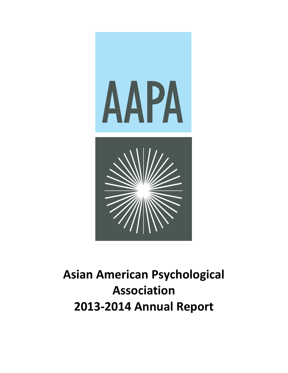

# **Asian American Psychological Association 2013-2014 Annual Report**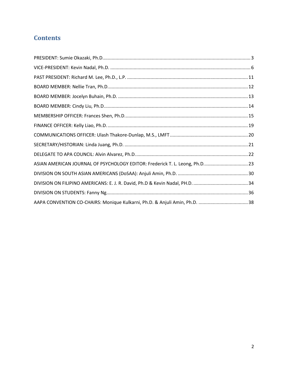# **Contents**

| ASIAN AMERICAN JOURNAL OF PSYCHOLOGY EDITOR: Frederick T. L. Leong, Ph.D 23 |  |
|-----------------------------------------------------------------------------|--|
|                                                                             |  |
|                                                                             |  |
|                                                                             |  |
|                                                                             |  |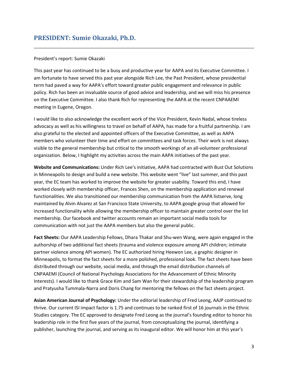# <span id="page-2-0"></span>President's report: Sumie Okazaki

This past year has continued to be a busy and productive year for AAPA and its Executive Committee. I am fortunate to have served this past year alongside Rich Lee, the Past President, whose presidential term had paved a way for AAPA's effort toward greater public engagement and relevance in public policy. Rich has been an invaluable source of good advice and leadership, and we will miss his presence on the Executive Committee. I also thank Rich for representing the AAPA at the recent CNPAAEMI meeting in Eugene, Oregon.

I would like to also acknowledge the excellent work of the Vice President, Kevin Nadal, whose tireless advocacy as well as his willingness to travel on behalf of AAPA, has made for a fruitful partnership. I am also grateful to the elected and appointed officers of the Executive Committee, as well as AAPA members who volunteer their time and effort on committees and task forces. Their work is not always visible to the general membership but critical to the smooth workings of an all-volunteer professional organization. Below, I highlight my activities across the main AAPA initiatives of the past year.

**Website and Communications:** Under Rich Lee's initiative, AAPA had contracted with Bust Out Solutions in Minneapolis to design and build a new website. This website went "live" last summer, and this past year, the EC team has worked to improve the website for greater usability. Toward this end, I have worked closely with membership officer, Frances Shen, on the membership application and renewal functionalities. We also transitioned our membership communication from the AAPA listserve, long maintained by Alvin Alvarez at San Francisco State University, to AAPA google group that allowed for increased functionality while allowing the membership officer to maintain greater control over the list membership. Our facebook and twitter accounts remain an important social media tools for communication with not just the AAPA members but also the general public.

**Fact Sheets:** Our AAPA Leadership Fellows, Dhara Thakar and Shu-wen Wang, were again engaged in the authorship of two additional fact sheets (trauma and violence exposure among API children; intimate partner violence among API women). The EC authorized hiring Heewon Lee, a graphic designer in Minneapolis, to format the fact sheets for a more polished, professional look. The fact sheets have been distributed through our website, social media, and through the email distribution channels of CNPAAEMI (Council of National Psychology Associations for the Advancement of Ethnic Minority Interests). I would like to thank Grace Kim and Sam Wan for their stewardship of the leadership program and Pratyusha Tummala-Narra and Doris Chang for mentoring the fellows on the fact sheets project.

**Asian American Journal of Psychology:** Under the editorial leadership of Fred Leong, AAJP continued to thrive. Our current ISI impact factor is 1.75 and continues to be ranked first of 16 journals in the Ethnic Studies category. The EC approved to designate Fred Leong as the journal's founding editor to honor his leadership role in the first five years of the journal, from conceptualizing the journal, identifying a publisher, launching the journal, and serving as its inaugural editor. We will honor him at this year's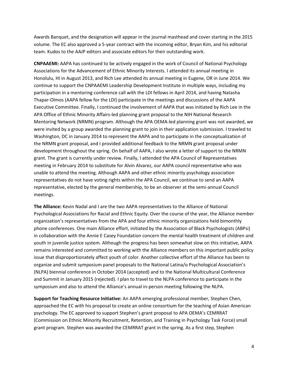Awards Banquet, and the designation will appear in the journal masthead and cover starting in the 2015 volume. The EC also approved a 5-year contract with the incoming editor, Bryan Kim, and his editorial team. Kudos to the AAJP editors and associate editors for their outstanding work.

**CNPAAEMI:** AAPA has continued to be actively engaged in the work of Council of National Psychology Associations for the Advancement of Ethnic Minority Interests. I attended its annual meeting in Honolulu, HI in August 2013, and Rich Lee attended its annual meeting in Eugene, OR in June 2014. We continue to support the CNPAAEMI Leadership Development Institute in multiple ways, including my participation in a mentoring conference call with the LDI fellows in April 2014, and having Natasha Thapar-Olmos (AAPA fellow for the LDI) participate in the meetings and discussions of the AAPA Executive Committee. Finally, I continued the involvement of AAPA that was initiated by Rich Lee in the APA Office of Ethnic Minority Affairs-led planning grant proposal to the NIH National Research Mentoring Network (NRMN) program. Although the APA OEMA-led planning grant was not awarded, we were invited by a group awarded the planning grant to join in their application submission. I traveled to Washington, DC in January 2014 to represent the AAPA and to participate in the conceptualization of the NRMN grant proposal, and I provided additional feedback to the NRMN grant proposal under development throughout the spring. On behalf of AAPA, I also wrote a letter of support to the NRMN grant. The grant is currently under review. Finally, I attended the APA Council of Representatives meeting in February 2014 to substitute for Alvin Alvarez, our AAPA council representative who was unable to attend the meeting. Although AAPA and other ethnic minority psychology association representatives do not have voting rights within the APA Council, we continue to send an AAPA representative, elected by the general membership, to be an observer at the semi-annual Council meetings.

**The Alliance:** Kevin Nadal and I are the two AAPA representatives to the Alliance of National Psychological Associations for Racial and Ethnic Equity. Over the course of the year, the Alliance member organization's representatives from the APA and four ethnic minority organizations held bimonthly phone conferences. One main Alliance effort, initiated by the Association of Black Psychologists (ABPsi) in collaboration with the Annie E Casey Foundation concern the mental health treatment of children and youth in juvenile justice system. Although the progress has been somewhat slow on this initiative, AAPA remains interested and committed to working with the Alliance members on this important public policy issue that disproportionately affect youth of color. Another collective effort of the Alliance has been to organize and submit symposium panel proposals to the National Latina/o Psychological Association's (NLPA) biennial conference in October 2014 (accepted) and to the National Multicultural Conference and Summit in January 2015 (rejected). I plan to travel to the NLPA conference to participate in the symposium and also to attend the Alliance's annual in-person meeting following the NLPA.

**Support for Teaching Resource Initiative:** An AAPA emerging professional member, Stephen Chen, approached the EC with his proposal to create an online consortium for the teaching of Asian American psychology. The EC approved to support Stephen's grant proposal to APA OEMA's CEMRRAT (Commission on Ethnic Minority Recruitment, Retention, and Training in Psychology Task Force) small grant program. Stephen was awarded the CEMRRAT grant in the spring. As a first step, Stephen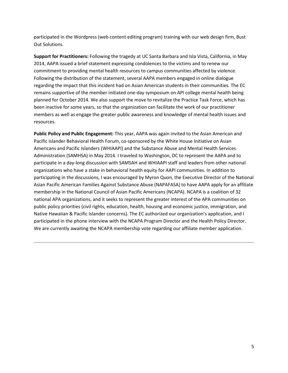participated in the Wordpress (web content editing program) training with our web design firm, Bust Out Solutions.

**Support for Practitioners:** Following the tragedy at UC Santa Barbara and Isla Vista, California, in May 2014, AAPA issued a brief statement expressing condolences to the victims and to renew our commitment to providing mental health resources to campus communities affected by violence. Following the distribution of the statement, several AAPA members engaged in online dialogue regarding the impact that this incident had on Asian American students in their communities. The EC remains supportive of the member initiated one-day symposium on API college mental health being planned for October 2014. We also support the move to revitalize the Practice Task Force, which has been inactive for some years, so that the organization can facilitate the work of our practitioner members as well as engage the greater public awareness and knowledge of mental health issues and resources.

**Public Policy and Public Engagement:** This year, AAPA was again invited to the Asian American and Pacific Islander Behavioral Health Forum, co-sponsored by the White House Initiative on Asian Americans and Pacific Islanders (WHIAAPI) and the Substance Abuse and Mental Health Services Administration (SAMHSA) in May 2014. I traveled to Washington, DC to represent the AAPA and to participate in a day-long discussion with SAMSAH and WHIAAPI staff and leaders from other national organizations who have a stake in behavioral health equity for AAPI communities. In addition to participating in the discussions, I was encouraged by Myron Quon, the Executive Director of the National Asian Pacific American Families Against Substance Abuse (NAPAFASA) to have AAPA apply for an affiliate membership in the National Council of Asian Pacific Americans (NCAPA). NCAPA is a coalition of 32 national APA organizations, and it seeks to represent the greater interest of the APA communities on public policy priorities (civil rights, education, health, housing and economic justice, immigration, and Native Hawaiian & Pacific Islander concerns). The EC authorized our organization's application, and I participated in the phone interview with the NCAPA Program Director and the Health Policy Director. We are currently awaiting the NCAPA membership vote regarding our affiliate member application.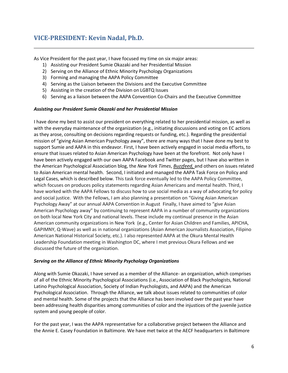# <span id="page-5-0"></span>**VICE-PRESIDENT: Kevin Nadal, Ph.D.**

As Vice President for the past year, I have focused my time on six major areas:

- 1) Assisting our President Sumie Okazaki and her Presidential Mission
- 2) Serving on the Alliance of Ethnic Minority Psychology Organizations
- 3) Forming and managing the AAPA Policy Committee
- 4) Serving as the Liaison between the Divisions and the Executive Committee
- 5) Assisting in the creation of the Division on LGBTQ Issues
- 6) Serving as a liaison between the AAPA Convention Co-Chairs and the Executive Committee

#### *Assisting our President Sumie Okazaki and her Presidential Mission*

I have done my best to assist our president on everything related to her presidential mission, as well as with the everyday maintenance of the organization (e.g., initiating discussions and voting on EC actions as they arose, consulting on decisions regarding requests or funding, etc.). Regarding the presidential mission of "giving Asian American Psychology away", there are many ways that I have done my best to support Sumie and AAPA in this endeavor. First, I have been actively engaged in social media efforts, to ensure that issues related to Asian American Psychology have been at the forefront. Not only have I have been actively engaged with our own AAPA Facebook and Twitter pages, but I have also written in the American Psychological Association blog, the *New York Times*, *Buzzfeed,* and others on issues related to Asian American mental health. Second, I initiated and managed the AAPA Task Force on Policy and Legal Cases, which is described below. This task force eventually led to the AAPA Policy Committee, which focuses on produces policy statements regarding Asian Americans and mental health. Third, I have worked with the AAPA Fellows to discuss how to use social media as a way of advocating for policy and social justice. With the Fellows, I am also planning a presentation on "Giving Asian American Psychology Away" at our annual AAPA Convention in August Finally, I have aimed to "give Asian American Psychology away" by continuing to represent AAPA in a number of community organizations on both local New York City and national levels. These include my continual presence in the Asian American community organizations in New York (e.g., Center for Asian Children and Families, APICHA, GAPIMNY, Q-Wave) as well as in national organizations (Asian American Journalists Association, Filipino American National Historical Society, etc.). I also represented AAPA at the Okura Mental Health Leadership Foundation meeting in Washington DC, where I met previous Okura Fellows and we discussed the future of the organization.

#### *Serving on the Alliance of Ethnic Minority Psychology Organizations*

Along with Sumie Okazaki, I have served as a member of the Alliance- an organization, which comprises of all of the Ethnic Minority Psychological Associations (i.e., Association of Black Psychologists, National Latino Psychological Association, Society of Indian Psychologists, and AAPA) and the American Psychological Association. Through the Alliance, we talk about issues related to communities of color and mental health. Some of the projects that the Alliance has been involved over the past year have been addressing health disparities among communities of color and the injustices of the juvenile justice system and young people of color.

For the past year, I was the AAPA representative for a collaborative project between the Alliance and the Annie E. Casey Foundation in Baltimore. We have met twice at the AECF headquarters in Baltimore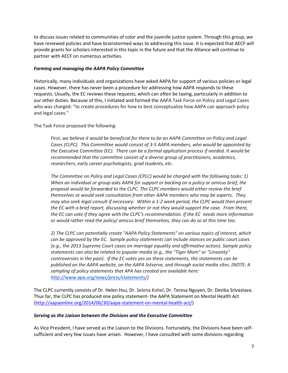to discuss issues related to communities of color and the juvenile justice system. Through this group, we have reviewed policies and have brainstormed ways to addressing this issue. It is expected that AECF will provide grants for scholars interested in this topic in the future and that the Alliance will continue to partner with AECF on numerous activities.

## *Forming and managing the AAPA Policy Committee*

Historically, many individuals and organizations have asked AAPA for support of various policies or legal cases. However, there has never been a procedure for addressing how AAPA responds to these requests. Usually, the EC reviews these requests, which can often be taxing, particularly in addition to our other duties. Because of this, I initiated and formed the AAPA Task Force on Policy and Legal Cases who was charged: "to create procedures for how to best conceptualize how AAPA can approach policy and legal cases."

The Task Force proposed the following:

*First, we believe it would be beneficial for there to be an AAPA Committee on Policy and Legal Cases (CLPC). This Committee would consist of 3-5 AAPA members, who would be appointed by the Executive Committee (EC). There can be a formal application process if needed. It would be recommended that the committee consist of a diverse group of practitioners, academics, researchers, early career psychologists, grad students, etc.* 

*The Committee on Policy and Legal Cases (CPLC) would be charged with the following tasks: 1) When an individual or group asks AAPA for support or backing on a policy or amicus brief, the proposal would be forwarded to the CLPC. The CLPC members would either review the brief themselves or would seek consultation from other AAPA members who may be experts. They may also seek legal consult if necessary. Within a 1-2 week period, the CLPC would then present the EC with a brief report, discussing whether or not they would support the case. From there, the EC can vote if they agree with the CLPC's recommendation. If the EC needs more information or would rather read the policy/ amicus brief themselves, they can do so at this time too.*

*2) The CLPC can potentially create "AAPA Policy Statements" on various topics of interest, which can be approved by the EC. Sample policy statements can include stances on public court cases (e.g., the 2013 Supreme Court cases on marriage equality and affirmative action). Sample policy statements can also be related to popular media (e.g., the "Tiger Mom" or "Linsanity" controversies in the past). If the EC votes yes on these statements, the statements can be published on the AAPA website, on the AAPA listserve, and through social media sites. (NOTE: A sampling of policy statements that APA has created are available here: [http://www.apa.org/news/press/statements/\)](http://www.apa.org/news/press/statements/)*

The CLPC currently consists of Dr. Helen Hsu, Dr. Selena Kohel, Dr. Teresa Nguyen, Dr. Devika Srivastava. Thus far, the CLPC has produced one policy statement- the AAPA Statement on Mental Health Act [\(http://aapaonline.org/2014/06/30/aapa-statement-on-mental-health-act/\)](http://aapaonline.org/2014/06/30/aapa-statement-on-mental-health-act/)

## *Serving as the Liaison between the Divisions and the Executive Committee*

As Vice President, I have served as the Liaison to the Divisions. Fortunately, the Divisions have been selfsufficient and very few issues have arisen. However, I have consulted with some divisions regarding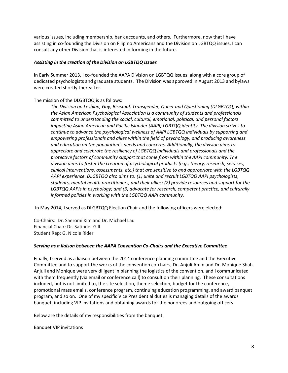various issues, including membership, bank accounts, and others. Furthermore, now that I have assisting in co-founding the Division on Filipino Americans and the Division on LGBTQQ issues, I can consult any other Division that is interested in forming in the future.

## *Assisting in the creation of the Division on LGBTQQ Issues*

In Early Summer 2013, I co-founded the AAPA Division on LGBTQQ Issues, along with a core group of dedicated psychologists and graduate students. The Division was approved in August 2013 and bylaws were created shortly thereafter.

The mission of the DLGBTQQ is as follows:

*The Division on Lesbian, Gay, Bisexual, Transgender, Queer and Questioning (DLGBTQQ) within the Asian American Psychological Association is a community of students and professionals committed to understanding the social, cultural, emotional, political, and personal factors impacting Asian American and Pacific Islander (AAPI) LGBTQQ identity. The division strives to continue to advance the psychological wellness of AAPI LGBTQQ individuals by supporting and empowering professionals and allies within the field of psychology, and producing awareness and education on the population's needs and concerns. Additionally, the division aims to appreciate and celebrate the resiliency of LGBTQQ individuals and professionals and the protective factors of community support that come from within the AAPI community. The division aims to foster the creation of psychological products (e.g., theory, research, services, clinical interventions, assessments, etc.) that are sensitive to and appropriate with the LGBTQQ AAPI experience. DLGBTQQ also aims to: (1) unite and recruit LGBTQQ AAPI psychologists, students, mental health practitioners, and their allies; (2) provide resources and support for the LGBTQQ AAPIs in psychology; and (3) advocate for research, competent practice, and culturally informed policies in working with the LGBTQQ AAPI community.*

In May 2014, I served as DLGBTQQ Election Chair and the following officers were elected:

Co-Chairs: Dr. Saeromi Kim and Dr. Michael Lau Financial Chair: Dr. Satinder Gill Student Rep: G. Nicole Rider

#### *Serving as a liaison between the AAPA Convention Co-Chairs and the Executive Committee*

Finally, I served as a liaison between the 2014 conference planning committee and the Executive Committee and to support the works of the convention co-chairs, Dr. Anjuli Amin and Dr. Monique Shah. Anjuli and Monique were very diligent in planning the logistics of the convention, and I communicated with them frequently (via email or conference call) to consult on their planning. These consultations included, but is not limited to, the site selection, theme selection, budget for the conference, promotional mass emails, conference program, continuing education programming, and award banquet program, and so on. One of my specific Vice Presidential duties is managing details of the awards banquet, including VIP invitations and obtaining awards for the honorees and outgoing officers.

Below are the details of my responsibilities from the banquet.

Banquet VIP invitations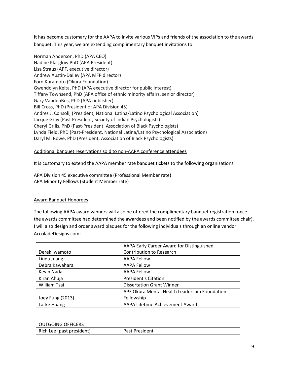It has become customary for the AAPA to invite various VIPs and friends of the association to the awards banquet. This year, we are extending complimentary banquet invitations to:

Norman Anderson, PhD (APA CEO) Nadine Klasglow PhD (APA President) Lisa Straus (APF, executive director) Andrew Austin-Dailey (APA MFP director) Ford Kuramoto (Okura Foundation) Gwendolyn Keita, PhD (APA executive director for public interest) Tiffany Townsend, PhD (APA office of ethnic minority affairs, senior director) Gary VandenBos, PhD (APA publisher) Bill Cross, PhD (President of APA Division 45) Andres J. Consoli, (President, National Latina/Latino Psychological Association) Jacque Gray (Past President, Society of Indian Psychologists) Cheryl Grills, PhD (Past-President, Association of Black Psychologists) Lynda Field, PhD (Past-President, National Latina/Latino Psychological Association) Daryl M. Rowe, PhD (President, Association of Black Psychologists)

# Additional banquet reservations sold to non-AAPA conference attendees

It is customary to extend the AAPA member rate banquet tickets to the following organizations:

APA Division 45 executive committee (Professional Member rate) APA Minority Fellows (Student Member rate)

## Award Banquet Honorees

The following AAPA award winners will also be offered the complimentary banquet registration (once the awards committee had determined the awardees and been notified by the awards committee chair). I will also design and order award plaques for the following individuals through an online vendor AccoladeDesigns.com:

|                           | AAPA Early Career Award for Distinguished     |
|---------------------------|-----------------------------------------------|
| Derek Iwamoto             | <b>Contribution to Research</b>               |
| Linda Juang               | <b>AAPA Fellow</b>                            |
| Debra Kawahara            | <b>AAPA Fellow</b>                            |
| Kevin Nadal               | <b>AAPA Fellow</b>                            |
| Kiran Ahuja               | <b>President's Citation</b>                   |
| <b>William Tsai</b>       | <b>Dissertation Grant Winner</b>              |
|                           | APF Okura Mental Health Leadership Foundation |
| Joey Fung (2013)          | Fellowship                                    |
| Larke Huang               | AAPA Lifetime Achievement Award               |
|                           |                                               |
|                           |                                               |
| <b>OUTGOING OFFICERS</b>  |                                               |
| Rich Lee (past president) | Past President                                |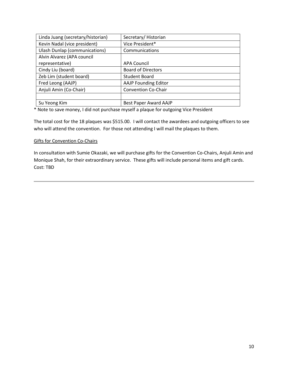| Linda Juang (secretary/historian)    | Secretary/Historian         |
|--------------------------------------|-----------------------------|
| Kevin Nadal (vice president)         | Vice President*             |
| <b>Ulash Dunlap (communications)</b> | Communications              |
| Alvin Alvarez (APA council           |                             |
| representative)                      | <b>APA Council</b>          |
| Cindy Liu (board)                    | <b>Board of Directors</b>   |
| Zeb Lim (student board)              | <b>Student Board</b>        |
| Fred Leong (AAJP)                    | <b>AAJP Founding Editor</b> |
| Anjuli Amin (Co-Chair)               | <b>Convention Co-Chair</b>  |
|                                      |                             |
| Su Yeong Kim                         | Best Paper Award AAJP       |

\* Note to save money, I did not purchase myself a plaque for outgoing Vice President

The total cost for the 18 plaques was \$515.00. I will contact the awardees and outgoing officers to see who will attend the convention. For those not attending I will mail the plaques to them.

#### Gifts for Convention Co-Chairs

In consultation with Sumie Okazaki, we will purchase gifts for the Convention Co-Chairs, Anjuli Amin and Monique Shah, for their extraordinary service. These gifts will include personal items and gift cards. Cost: TBD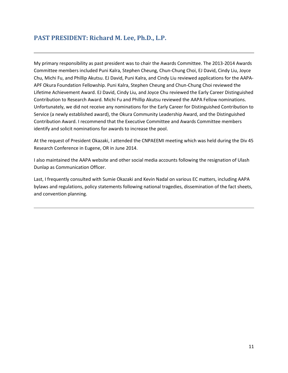# <span id="page-10-0"></span>**PAST PRESIDENT: Richard M. Lee, Ph.D., L.P.**

My primary responsibility as past president was to chair the Awards Committee. The 2013-2014 Awards Committee members included Puni Kalra, Stephen Cheung, Chun-Chung Choi, EJ David, Cindy Liu, Joyce Chu, Michi Fu, and Phillip Akutsu. EJ David, Puni Kalra, and Cindy Liu reviewed applications for the AAPA-APF Okura Foundation Fellowship. Puni Kalra, Stephen Cheung and Chun-Chung Choi reviewed the Lifetime Achievement Award. EJ David, Cindy Liu, and Joyce Chu reviewed the Early Career Distinguished Contribution to Research Award. Michi Fu and Phillip Akutsu reviewed the AAPA Fellow nominations. Unfortunately, we did not receive any nominations for the Early Career for Distinguished Contribution to Service (a newly established award), the Okura Community Leadership Award, and the Distinguished Contribution Award. I recommend that the Executive Committee and Awards Committee members identify and solicit nominations for awards to increase the pool.

At the request of President Okazaki, I attended the CNPAEEMI meeting which was held during the Div 45 Research Conference in Eugene, OR in June 2014.

I also maintained the AAPA website and other social media accounts following the resignation of Ulash Dunlap as Communication Officer.

Last, I frequently consulted with Sumie Okazaki and Kevin Nadal on various EC matters, including AAPA bylaws and regulations, policy statements following national tragedies, dissemination of the fact sheets, and convention planning.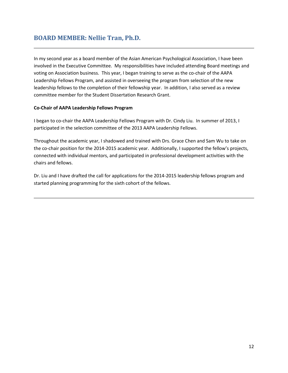# <span id="page-11-0"></span>**BOARD MEMBER: Nellie Tran, Ph.D.**

In my second year as a board member of the Asian American Psychological Association, I have been involved in the Executive Committee. My responsibilities have included attending Board meetings and voting on Association business. This year, I began training to serve as the co-chair of the AAPA Leadership Fellows Program, and assisted in overseeing the program from selection of the new leadership fellows to the completion of their fellowship year. In addition, I also served as a review committee member for the Student Dissertation Research Grant.

# **Co-Chair of AAPA Leadership Fellows Program**

I began to co-chair the AAPA Leadership Fellows Program with Dr. Cindy Liu. In summer of 2013, I participated in the selection committee of the 2013 AAPA Leadership Fellows.

Throughout the academic year, I shadowed and trained with Drs. Grace Chen and Sam Wu to take on the co-chair position for the 2014-2015 academic year. Additionally, I supported the fellow's projects, connected with individual mentors, and participated in professional development activities with the chairs and fellows.

Dr. Liu and I have drafted the call for applications for the 2014-2015 leadership fellows program and started planning programming for the sixth cohort of the fellows.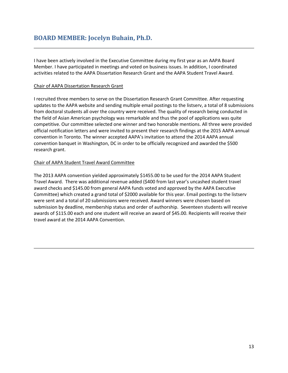<span id="page-12-0"></span>I have been actively involved in the Executive Committee during my first year as an AAPA Board Member. I have participated in meetings and voted on business issues. In addition, I coordinated activities related to the AAPA Dissertation Research Grant and the AAPA Student Travel Award.

## Chair of AAPA Dissertation Research Grant

I recruited three members to serve on the Dissertation Research Grant Committee. After requesting updates to the AAPA website and sending multiple email postings to the listserv, a total of 8 submissions from doctoral students all over the country were received. The quality of research being conducted in the field of Asian American psychology was remarkable and thus the pool of applications was quite competitive. Our committee selected one winner and two honorable mentions. All three were provided official notification letters and were invited to present their research findings at the 2015 AAPA annual convention in Toronto. The winner accepted AAPA's invitation to attend the 2014 AAPA annual convention banquet in Washington, DC in order to be officially recognized and awarded the \$500 research grant.

# Chair of AAPA Student Travel Award Committee

The 2013 AAPA convention yielded approximately \$1455.00 to be used for the 2014 AAPA Student Travel Award. There was additional revenue added (\$400 from last year's uncashed student travel award checks and \$145.00 from general AAPA funds voted and approved by the AAPA Executive Committee) which created a grand total of \$2000 available for this year. Email postings to the listserv were sent and a total of 20 submissions were received. Award winners were chosen based on submission by deadline, membership status and order of authorship. Seventeen students will receive awards of \$115.00 each and one student will receive an award of \$45.00. Recipients will receive their travel award at the 2014 AAPA Convention.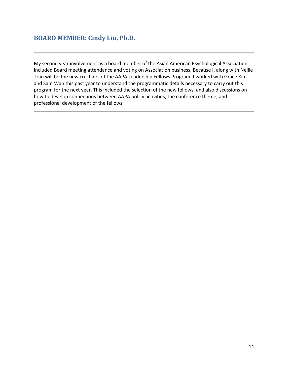# <span id="page-13-0"></span>**BOARD MEMBER: Cindy Liu, Ph.D.**

My second year involvement as a board member of the Asian American Psychological Association included Board meeting attendance and voting on Association business. Because I, along with Nellie Tran will be the new co-chairs of the AAPA Leadership Fellows Program, I worked with Grace Kim and Sam Wan this past year to understand the programmatic details necessary to carry out this program for the next year. This included the selection of the new fellows, and also discussions on how to develop connections between AAPA policy activities, the conference theme, and professional development of the fellows.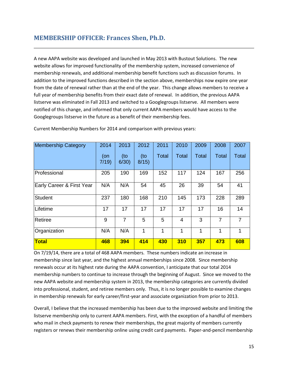# <span id="page-14-0"></span>**MEMBERSHIP OFFICER: Frances Shen, Ph.D.**

A new AAPA website was developed and launched in May 2013 with Bustout Solutions. The new website allows for improved functionality of the membership system, increased convenience of membership renewals, and additional membership benefit functions such as discussion forums. In addition to the improved functions described in the section above, memberships now expire one year from the date of renewal rather than at the end of the year. This change allows members to receive a full year of membership benefits from their exact date of renewal. In addition, the previous AAPA listserve was eliminated in Fall 2013 and switched to a Googlegroups listserve. All members were notified of this change, and informed that only current AAPA members would have access to the Googlegroups listserve in the future as a benefit of their membership fees.

| <b>Membership Category</b> | 2014        | 2013           | 2012           | 2011         | 2010           | 2009         | 2008           | 2007           |
|----------------------------|-------------|----------------|----------------|--------------|----------------|--------------|----------------|----------------|
|                            | (on<br>7/19 | (to<br>6/30    | $($ to<br>8/15 | <b>Total</b> | <b>Total</b>   | <b>Total</b> | <b>Total</b>   | <b>Total</b>   |
| Professional               | 205         | 190            | 169            | 152          | 117            | 124          | 167            | 256            |
| Early Career & First Year  | N/A         | N/A            | 54             | 45           | 26             | 39           | 54             | 41             |
| <b>Student</b>             | 237         | 180            | 168            | 210          | 145            | 173          | 228            | 289            |
| Lifetime                   | 17          | 17             | 17             | 17           | 17             | 17           | 16             | 14             |
| Retiree                    | 9           | $\overline{7}$ | 5              | 5            | $\overline{4}$ | 3            | $\overline{7}$ | $\overline{7}$ |
| Organization               | N/A         | N/A            | 1              | 1            | 1              | 1            | 1              | 1              |
| Total                      | 468         | 394            | 414            | 430          | 310            | 357          | 473            | 608            |

Current Membership Numbers for 2014 and comparison with previous years:

On 7/19/14, there are a total of 468 AAPA members. These numbers indicate an increase in membership since last year, and the highest annual memberships since 2008. Since membership renewals occur at its highest rate during the AAPA convention, I anticipate that our total 2014 membership numbers to continue to increase through the beginning of August. Since we moved to the new AAPA website and membership system in 2013, the membership categories are currently divided into professional, student, and retiree members only. Thus, it is no longer possible to examine changes in membership renewals for early career/first-year and associate organization from prior to 2013.

Overall, I believe that the increased membership has been due to the improved website and limiting the listserve membership only to current AAPA members. First, with the exception of a handful of members who mail in check payments to renew their memberships, the great majority of members currently registers or renews their membership online using credit card payments. Paper-and-pencil membership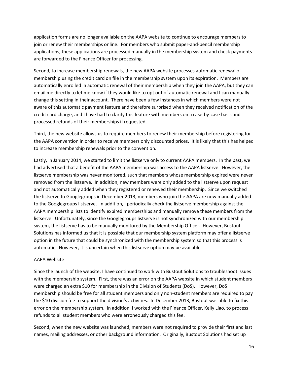application forms are no longer available on the AAPA website to continue to encourage members to join or renew their memberships online. For members who submit paper-and-pencil membership applications, these applications are processed manually in the membership system and check payments are forwarded to the Finance Officer for processing.

Second, to increase membership renewals, the new AAPA website processes automatic renewal of membership using the credit card on file in the membership system upon its expiration. Members are automatically enrolled in automatic renewal of their membership when they join the AAPA, but they can email me directly to let me know if they would like to opt out of automatic renewal and I can manually change this setting in their account. There have been a few instances in which members were not aware of this automatic payment feature and therefore surprised when they received notification of the credit card charge, and I have had to clarify this feature with members on a case-by-case basis and processed refunds of their memberships if requested.

Third, the new website allows us to require members to renew their membership before registering for the AAPA convention in order to receive members only discounted prices. It is likely that this has helped to increase membership renewals prior to the convention.

Lastly, in January 2014, we started to limit the listserve only to current AAPA members. In the past, we had advertised that a benefit of the AAPA membership was access to the AAPA listserve. However, the listserve membership was never monitored, such that members whose membership expired were never removed from the listserve. In addition, new members were only added to the listserve upon request and not automatically added when they registered or renewed their membership. Since we switched the listserve to Googlegroups in December 2013, members who join the AAPA are now manually added to the Googlegroups listserve. In addition, I periodically check the listserve membership against the AAPA membership lists to identify expired memberships and manually remove these members from the listserve. Unfortunately, since the Googlegroups listserve is not synchronized with our membership system, the listserve has to be manually monitored by the Membership Officer. However, Bustout Solutions has informed us that it is possible that our membership system platform may offer a listserve option in the future that could be synchronized with the membership system so that this process is automatic. However, it is uncertain when this listserve option may be available.

## AAPA Website

Since the launch of the website, I have continued to work with Bustout Solutions to troubleshoot issues with the membership system. First, there was an error on the AAPA website in which student members were charged an extra \$10 for membership in the Division of Students (DoS). However, DoS membership should be free for all student members and only non-student members are required to pay the \$10 division fee to support the division's activities. In December 2013, Bustout was able to fix this error on the membership system. In addition, I worked with the Finance Officer, Kelly Liao, to process refunds to all student members who were erroneously charged this fee.

Second, when the new website was launched, members were not required to provide their first and last names, mailing addresses, or other background information. Originally, Bustout Solutions had set up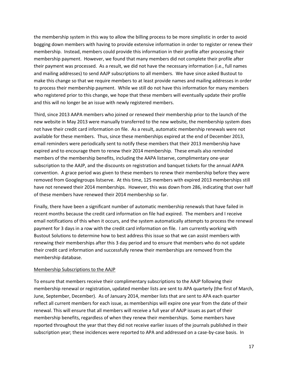the membership system in this way to allow the billing process to be more simplistic in order to avoid bogging down members with having to provide extensive information in order to register or renew their membership. Instead, members could provide this information in their profile after processing their membership payment. However, we found that many members did not complete their profile after their payment was processed. As a result, we did not have the necessary information (i.e., full names and mailing addresses) to send AAJP subscriptions to all members. We have since asked Bustout to make this change so that we require members to at least provide names and mailing addresses in order to process their membership payment. While we still do not have this information for many members who registered prior to this change, we hope that these members will eventually update their profile and this will no longer be an issue with newly registered members.

Third, since 2013 AAPA members who joined or renewed their membership prior to the launch of the new website in May 2013 were manually transferred to the new website, the membership system does not have their credit card information on file. As a result, automatic membership renewals were not available for these members. Thus, since these memberships expired at the end of December 2013, email reminders were periodically sent to notify these members that their 2013 membership have expired and to encourage them to renew their 2014 membership. These emails also reminded members of the membership benefits, including the AAPA listserve, complimentary one-year subscription to the AAJP, and the discounts on registration and banquet tickets for the annual AAPA convention. A grace period was given to these members to renew their membership before they were removed from Googlegroups listserve. At this time, 125 members with expired 2013 memberships still have not renewed their 2014 memberships. However, this was down from 286, indicating that over half of these members have renewed their 2014 membership so far.

Finally, there have been a significant number of automatic membership renewals that have failed in recent months because the credit card information on file had expired. The members and I receive email notifications of this when it occurs, and the system automatically attempts to process the renewal payment for 3 days in a row with the credit card information on file. I am currently working with Bustout Solutions to determine how to best address this issue so that we can assist members with renewing their memberships after this 3 day period and to ensure that members who do not update their credit card information and successfully renew their memberships are removed from the membership database.

#### Membership Subscriptions to the AAJP

To ensure that members receive their complimentary subscriptions to the AAJP following their membership renewal or registration, updated member lists are sent to APA quarterly (the first of March, June, September, December). As of January 2014, member lists that are sent to APA each quarter reflect all current members for each issue, as memberships will expire one year from the date of their renewal. This will ensure that all members will receive a full year of AAJP issues as part of their membership benefits, regardless of when they renew their memberships. Some members have reported throughout the year that they did not receive earlier issues of the journals published in their subscription year; these incidences were reported to APA and addressed on a case-by-case basis. In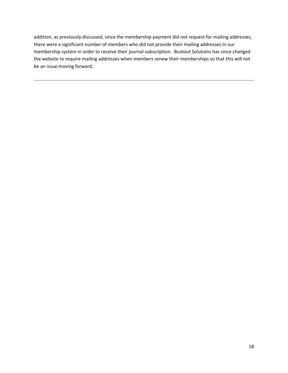addition, as previously discussed, since the membership payment did not request for mailing addresses, there were a significant number of members who did not provide their mailing addresses in our membership system in order to receive their journal subscription. Bustout Solutions has since changed the website to require mailing addresses when members renew their memberships so that this will not be an issue moving forward.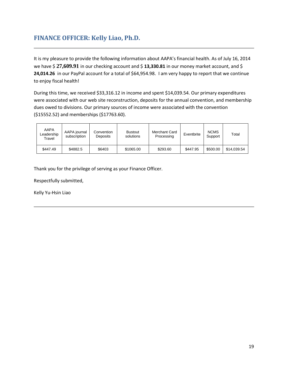# <span id="page-18-0"></span>**FINANCE OFFICER: Kelly Liao, Ph.D.**

It is my pleasure to provide the following information about AAPA's financial health. As of July 16, 2014 we have \$27,609.91 in our checking account and \$13,330.81 in our money market account, and \$ **24,014.26** in our PayPal account for a total of \$64,954.98. I am very happy to report that we continue to enjoy fiscal health!

During this time, we received \$33,316.12 in income and spent \$14,039.54. Our primary expenditures were associated with our web site reconstruction, deposits for the annual convention, and membership dues owed to divisions. Our primary sources of income were associated with the convention (\$15552.52) and memberships (\$17763.60).

| AAPA<br>Leadership<br>Travel | AAPA journal<br>subscription | Convention<br>Deposits | <b>Bustout</b><br>solutions | Merchant Card<br>Processing | Eventbrite | <b>NCMS</b><br>Support | Total       |
|------------------------------|------------------------------|------------------------|-----------------------------|-----------------------------|------------|------------------------|-------------|
| \$447.49                     | \$4882.5                     | \$6403                 | \$1065.00                   | \$293.60                    | \$447.95   | \$500.00               | \$14.039.54 |

Thank you for the privilege of serving as your Finance Officer.

Respectfully submitted,

Kelly Yu-Hsin Liao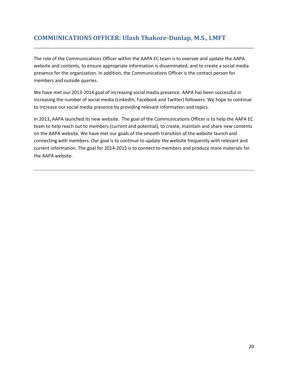# <span id="page-19-0"></span>**COMMUNICATIONS OFFICER: Ulash Thakore-Dunlap, M.S., LMFT**

The role of the Communications Officer within the AAPA EC team is to oversee and update the AAPA website and contents, to ensure appropriate information is disseminated, and to create a social media presence for the organization. In addition, the Communications Officer is the contact person for members and outside queries.

We have met our 2013-2014 goal of increasing social media presence. AAPA has been successful in increasing the number of social media (LinkedIn, Facebook and Twitter) followers. We hope to continue to increase our social media presence by providing relevant information and topics.

In 2013, AAPA launched its new website. The goal of the Communications Officer is to help the AAPA EC team to help reach out to members (current and potential), to create, maintain and share new contents on the AAPA website. We have met our goals of the smooth transition of the website launch and connecting with members. Our goal is to continue to update the website frequently with relevant and current information. The goal for 2014-2015 is to connect to members and produce more materials for the AAPA website.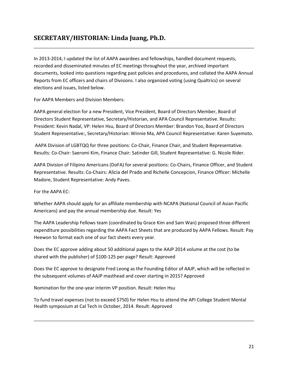# <span id="page-20-0"></span>**SECRETARY/HISTORIAN: Linda Juang, Ph.D.**

In 2013-2014, I updated the list of AAPA awardees and fellowships, handled document requests, recorded and disseminated minutes of EC meetings throughout the year, archived important documents, looked into questions regarding past policies and procedures, and collated the AAPA Annual Reports from EC officers and chairs of Divisions. I also organized voting (using Qualtrics) on several elections and issues, listed below.

For AAPA Members and Division Members:

AAPA general election for a new President, Vice President, Board of Directors Member, Board of Directors Student Representative, Secretary/Historian, and APA Council Representative. Results: President: Kevin Nadal, VP: Helen Hsu, Board of Directors Member: Brandon Yoo, Board of Directors Student Representative:, Secretary/Historian: Winnie Ma, APA Council Representative: Karen Suyemoto.

AAPA Division of LGBTQQ for three positions: Co-Chair, Finance Chair, and Student Representative. Results: Co-Chair: Saeromi Kim, Finance Chair: Satinder Gill, Student Representative: G. Nicole Rider.

AAPA Division of Filipino Americans (DoFA) for several positions: Co-Chairs, Finance Officer, and Student Representative. Results: Co-Chairs: Alicia del Prado and Richelle Concepcion, Finance Officer: Michelle Madore, Student Representative: Andy Paves.

For the AAPA EC:

Whether AAPA should apply for an affiliate membership with NCAPA (National Council of Asian Pacific Americans) and pay the annual membership due. Result: Yes

The AAPA Leadership Fellows team (coordinated by Grace Kim and Sam Wan) proposed three different expenditure possibilities regarding the AAPA Fact Sheets that are produced by AAPA Fellows. Result: Pay Heewon to format each one of our fact sheets every year.

Does the EC approve adding about 50 additional pages to the AAJP 2014 volume at the cost (to be shared with the publisher) of \$100-125 per page? Result: Approved

Does the EC approve to designate Fred Leong as the Founding Editor of AAJP, which will be reflected in the subsequent volumes of AAJP masthead and cover starting in 2015? Approved

Nomination for the one-year interim VP position. Result: Helen Hsu

To fund travel expenses (not to exceed \$750) for Helen Hsu to attend the API College Student Mental Health symposium at Cal Tech in October, 2014. Result: Approved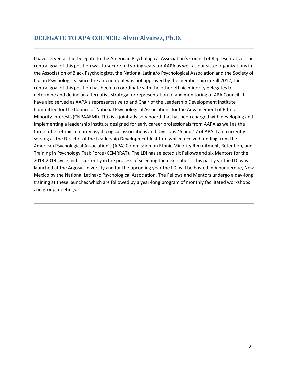# <span id="page-21-0"></span>**DELEGATE TO APA COUNCIL: Alvin Alvarez, Ph.D.**

I have served as the Delegate to the American Psychological Association's Council of Representative. The central goal of this position was to secure full voting seats for AAPA as well as our sister organizations in the Association of Black Psychologists, the National Latina/o Psychological Association and the Society of Indian Psychologists. Since the amendment was not approved by the membership in Fall 2012, the central goal of this position has been to coordinate with the other ethnic minority delegates to determine and define an alternative strategy for representation to and monitoring of APA Council. I have also served as AAPA's representative to and Chair of the Leadership Development Institute Committee for the Council of National Psychological Associations for the Advancement of Ethnic Minority Interests (CNPAAEMI). This is a joint advisory board that has been charged with developing and implementing a leadership institute designed for early career professionals from AAPA as well as the three other ethnic minority psychological associations and Divisions 45 and 17 of APA. I am currently serving as the Director of the Leadership Development Institute which received funding from the American Psychological Association's (APA) Commission on Ethnic Minority Recruitment, Retention, and Training in Psychology Task Force (CEMRRAT). The LDI has selected six Fellows and six Mentors for the 2013-2014 cycle and is currently in the process of selecting the next cohort. This past year the LDI was launched at the Argosy University and for the upcoming year the LDI will be hosted in Albuquerque, New Mexico by the National Latina/o Psychological Association. The Fellows and Mentors undergo a day-long training at these launches which are followed by a year-long program of monthly facilitated workshops and group meetings.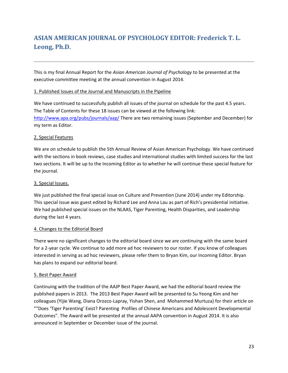# <span id="page-22-0"></span>**ASIAN AMERICAN JOURNAL OF PSYCHOLOGY EDITOR: Frederick T. L. Leong, Ph.D.**

This is my final Annual Report for the *Asian American Journal of Psychology* to be presented at the executive committee meeting at the annual convention in August 2014.

# 1. Published Issues of the Journal and Manuscripts in the Pipeline

We have continued to successfully publish all issues of the journal on schedule for the past 4.5 years. The Table of Contents for these 18 issues can be viewed at the following link: <http://www.apa.org/pubs/journals/aap/> There are two remaining issues (September and December) for my term as Editor.

# 2. Special Features

We are on schedule to publish the 5th Annual Review of Asian American Psychology. We have continued with the sections in book reviews, case studies and international studies with limited success for the last two sections. It will be up to the Incoming Editor as to whether he will continue these special feature for the journal.

# 3. Special Issues.

We just published the final special issue on Culture and Prevention (June 2014) under my Editorship. This special issue was guest edited by Richard Lee and Anna Lau as part of Rich's presidential initiative. We had published special issues on the NLAAS, Tiger Parenting, Health Disparities, and Leadership during the last 4 years.

## 4. Changes to the Editorial Board

There were no significant changes to the editorial board since we are continuing with the same board for a 2-year cycle. We continue to add more ad hoc reviewers to our roster. If you know of colleagues interested in serving as ad hoc reviewers, please refer them to Bryan Kim, our Incoming Editor. Bryan has plans to expand our editorial board.

## 5. Best Paper Award

Continuing with the tradition of the AAJP Best Paper Award, we had the editorial board review the published papers in 2013. The 2013 Best Paper Award will be presented to Su Yeong Kim and her colleagues (Yijie Wang, Diana Orozco-Lapray, Yishan Shen, and Mohammed Murtuza) for their article on ""Does 'Tiger Parenting' Exist? Parenting Profiles of Chinese Americans and Adolescent Developmental Outcomes". The Award will be presented at the annual AAPA convention in August 2014. It is also announced in September or December issue of the journal.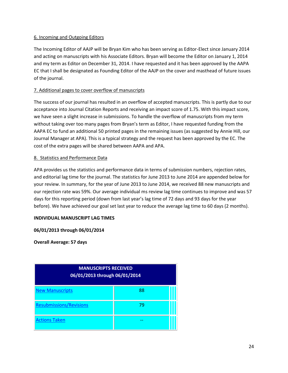# 6. Incoming and Outgoing Editors

The Incoming Editor of AAJP will be Bryan Kim who has been serving as Editor-Elect since January 2014 and acting on manuscripts with his Associate Editors. Bryan will become the Editor on January 1, 2014 and my term as Editor on December 31, 2014. I have requested and it has been approved by the AAPA EC that I shall be designated as Founding Editor of the AAJP on the cover and masthead of future issues of the journal.

# 7. Additional pages to cover overflow of manuscripts

The success of our journal has resulted in an overflow of accepted manuscripts. This is partly due to our acceptance into Journal Citation Reports and receiving an impact score of 1.75. With this impact score, we have seen a slight increase in submissions. To handle the overflow of manuscripts from my term without taking over too many pages from Bryan's term as Editor, I have requested funding from the AAPA EC to fund an additional 50 printed pages in the remaining issues (as suggested by Annie Hill, our Journal Manager at APA). This is a typical strategy and the request has been approved by the EC. The cost of the extra pages will be shared between AAPA and APA.

# 8. Statistics and Performance Data

APA provides us the statistics and performance data in terms of submission numbers, rejection rates, and editorial lag time for the journal. The statistics for June 2013 to June 2014 are appended below for your review. In summary, for the year of June 2013 to June 2014, we received 88 new manuscripts and our rejection rate was 59%. Our average individual ms review lag time continues to improve and was 57 days for this reporting period (down from last year's lag time of 72 days and 93 days for the year before). We have achieved our goal set last year to reduce the average lag time to 60 days (2 months).

# **INDIVIDUAL MANUSCRIPT LAG TIMES**

## **06/01/2013 through 06/01/2014**

**Overall Average: 57 days**

| <b>MANUSCRIPTS RECEIVED</b><br>06/01/2013 through 06/01/2014 |    |  |  |  |  |  |
|--------------------------------------------------------------|----|--|--|--|--|--|
| <b>New Manuscripts</b>                                       | 88 |  |  |  |  |  |
| <b>Resubmissions/Revisions</b>                               | 79 |  |  |  |  |  |
| <b>Actions Taken</b>                                         |    |  |  |  |  |  |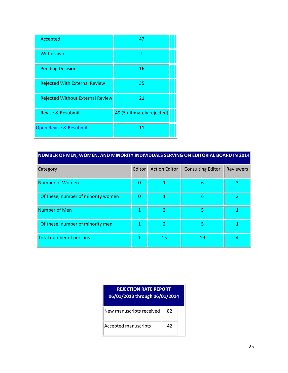| Accepted                                | 47                         |
|-----------------------------------------|----------------------------|
| Withdrawn                               | 1                          |
| <b>Pending Decision</b>                 | 16                         |
| <b>Rejected With External Review</b>    | 35                         |
| <b>Rejected Without External Review</b> | 21                         |
| <b>Revise &amp; Resubmit</b>            | 49 (5 ultimately rejected) |
| Open Revise & Resubmit                  | 11                         |

| NUMBER OF MEN, WOMEN, AND MINORITY INDIVIDUALS SERVING ON EDITORIAL BOARD IN 2014 |        |                      |                          |                  |  |  |  |  |  |
|-----------------------------------------------------------------------------------|--------|----------------------|--------------------------|------------------|--|--|--|--|--|
| Category                                                                          | Editor | <b>Action Editor</b> | <b>Consulting Editor</b> | <b>Reviewers</b> |  |  |  |  |  |
| Number of Women                                                                   | 0      |                      | 6                        | 3                |  |  |  |  |  |
| Of these, number of minority women                                                | 0      |                      | 6                        |                  |  |  |  |  |  |
| Number of Men                                                                     | 1      | $\overline{2}$       | 5                        |                  |  |  |  |  |  |
| Of these, number of minority men                                                  |        | $\overline{2}$       | 5                        |                  |  |  |  |  |  |
| Total number of persons                                                           | 1      | 15                   | 19                       | 4                |  |  |  |  |  |

| <b>REJECTION RATE REPORT</b><br>06/01/2013 through 06/01/2014 |    |  |  |  |  |  |
|---------------------------------------------------------------|----|--|--|--|--|--|
| New manuscripts received                                      | 82 |  |  |  |  |  |
| Accepted manuscripts                                          | 42 |  |  |  |  |  |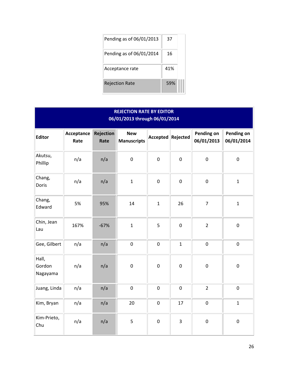| Pending as of 06/01/2013 | 37  |  |
|--------------------------|-----|--|
| Pending as of 06/01/2014 | 16  |  |
| Acceptance rate          | 41% |  |
| <b>Rejection Rate</b>    | 59% |  |

| <b>REJECTION RATE BY EDITOR</b><br>06/01/2013 through 06/01/2014 |                    |                          |                                  |                  |              |                          |                          |  |
|------------------------------------------------------------------|--------------------|--------------------------|----------------------------------|------------------|--------------|--------------------------|--------------------------|--|
| <b>Editor</b>                                                    | Acceptance<br>Rate | <b>Rejection</b><br>Rate | <b>New</b><br><b>Manuscripts</b> | Accepted         | Rejected     | Pending on<br>06/01/2013 | Pending on<br>06/01/2014 |  |
| Akutsu,<br>Phillip                                               | n/a                | n/a                      | $\pmb{0}$                        | $\mathbf 0$      | $\mathbf{0}$ | $\mathbf 0$              | $\mathbf 0$              |  |
| Chang,<br>Doris                                                  | n/a                | n/a                      | $\mathbf{1}$                     | $\boldsymbol{0}$ | $\pmb{0}$    | $\pmb{0}$                | $\mathbf 1$              |  |
| Chang,<br>Edward                                                 | 5%                 | 95%                      | 14                               | $\mathbf{1}$     | 26           | $\overline{7}$           | $\mathbf{1}$             |  |
| Chin, Jean<br>Lau                                                | 167%               | $-67%$                   | $\mathbf{1}$                     | 5                | $\mathbf 0$  | $\overline{2}$           | $\pmb{0}$                |  |
| Gee, Gilbert                                                     | n/a                | n/a                      | $\pmb{0}$                        | $\boldsymbol{0}$ | $\mathbf{1}$ | $\pmb{0}$                | $\mathbf 0$              |  |
| Hall,<br>Gordon<br>Nagayama                                      | n/a                | n/a                      | $\boldsymbol{0}$                 | $\boldsymbol{0}$ | $\mathbf 0$  | $\pmb{0}$                | $\boldsymbol{0}$         |  |
| Juang, Linda                                                     | n/a                | n/a                      | $\pmb{0}$                        | $\boldsymbol{0}$ | $\mathbf 0$  | $\overline{2}$           | $\mathbf 0$              |  |
| Kim, Bryan                                                       | n/a                | n/a                      | 20                               | $\boldsymbol{0}$ | 17           | $\pmb{0}$                | $\mathbf{1}$             |  |
| Kim-Prieto,<br>Chu                                               | n/a                | n/a                      | 5                                | $\boldsymbol{0}$ | 3            | $\pmb{0}$                | $\mathbf 0$              |  |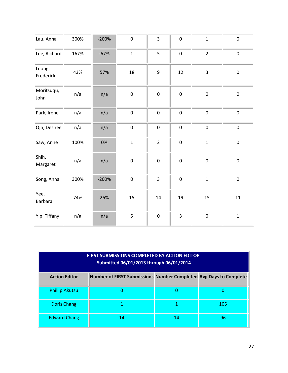| Lau, Anna           | 300% | $-200%$ | $\pmb{0}$    | $\overline{\mathbf{3}}$ | $\pmb{0}$        | $\mathbf{1}$   | $\pmb{0}$        |
|---------------------|------|---------|--------------|-------------------------|------------------|----------------|------------------|
| Lee, Richard        | 167% | $-67%$  | $\mathbf{1}$ | 5                       | $\boldsymbol{0}$ | $\overline{2}$ | $\boldsymbol{0}$ |
| Leong,<br>Frederick | 43%  | 57%     | 18           | 9                       | 12               | $\overline{3}$ | $\pmb{0}$        |
| Moritsuqu,<br>John  | n/a  | n/a     | $\pmb{0}$    | $\pmb{0}$               | $\pmb{0}$        | $\pmb{0}$      | $\pmb{0}$        |
| Park, Irene         | n/a  | n/a     | $\pmb{0}$    | $\pmb{0}$               | $\pmb{0}$        | $\mathbf 0$    | $\pmb{0}$        |
| Qin, Desiree        | n/a  | n/a     | $\pmb{0}$    | $\pmb{0}$               | $\pmb{0}$        | $\pmb{0}$      | $\pmb{0}$        |
| Saw, Anne           | 100% | 0%      | $\mathbf{1}$ | $\overline{2}$          | $\pmb{0}$        | $\mathbf{1}$   | $\boldsymbol{0}$ |
| Shih,<br>Margaret   | n/a  | n/a     | $\pmb{0}$    | $\pmb{0}$               | $\pmb{0}$        | $\pmb{0}$      | $\pmb{0}$        |
| Song, Anna          | 300% | $-200%$ | $\pmb{0}$    | $\overline{\mathbf{3}}$ | $\pmb{0}$        | $\mathbf{1}$   | $\pmb{0}$        |
| Yee,<br>Barbara     | 74%  | 26%     | 15           | 14                      | 19               | 15             | 11               |
| Yip, Tiffany        | n/a  | n/a     | 5            | $\pmb{0}$               | $\overline{3}$   | $\mathbf 0$    | $\mathbf 1$      |

| <b>FIRST SUBMISSIONS COMPLETED BY ACTION EDITOR</b><br>Submitted 06/01/2013 through 06/01/2014 |                                                                   |    |     |
|------------------------------------------------------------------------------------------------|-------------------------------------------------------------------|----|-----|
| <b>Action Editor</b>                                                                           | Number of FIRST Submissions Number Completed Avg Days to Complete |    |     |
| <b>Phillip Akutsu</b>                                                                          |                                                                   |    |     |
| <b>Doris Chang</b>                                                                             |                                                                   |    | 105 |
| <b>Edward Chang</b>                                                                            | 14                                                                | 14 | 96  |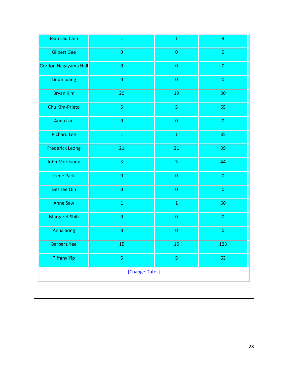| Jean Lau Chin          | $\mathbf 1$    | $\mathbf 1$             | 9           |
|------------------------|----------------|-------------------------|-------------|
| <b>Gilbert Gee</b>     | $\pmb{0}$      | $\pmb{0}$               | $\pmb{0}$   |
| Gordon Nagayama Hall   | $\pmb{0}$      | $\pmb{0}$               | $\pmb{0}$   |
| Linda Juang            | $\pmb{0}$      | $\pmb{0}$               | $\pmb{0}$   |
| <b>Bryan Kim</b>       | 20             | 19                      | 30          |
| Chu Kim-Prieto         | $\overline{5}$ | $\overline{5}$          | 65          |
| Anna Lau               | $\pmb{0}$      | $\pmb{0}$               | $\pmb{0}$   |
| <b>Richard Lee</b>     | $\mathbf 1$    | $\mathbf 1$             | 35          |
| <b>Frederick Leong</b> | 21             | 21                      | 39          |
| John Moritsuqu         | 3              | $\overline{\mathbf{3}}$ | 44          |
| <b>Irene Park</b>      | $\pmb{0}$      | $\pmb{0}$               | $\pmb{0}$   |
| <b>Desiree Qin</b>     | $\pmb{0}$      | $\pmb{0}$               | $\mathbf 0$ |
| <b>Anne Saw</b>        | $\mathbf 1$    | $\mathbf 1$             | 60          |
| <b>Margaret Shih</b>   | $\pmb{0}$      | $\boldsymbol{0}$        | $\pmb{0}$   |
| <b>Anna Song</b>       | $\pmb{0}$      | $\pmb{0}$               | $\pmb{0}$   |
| Barbara Yee            | 15             | 15                      | 123         |
| <b>Tiffany Yip</b>     | 5              | $\sf S$                 | 63          |
| [Change Dates]         |                |                         |             |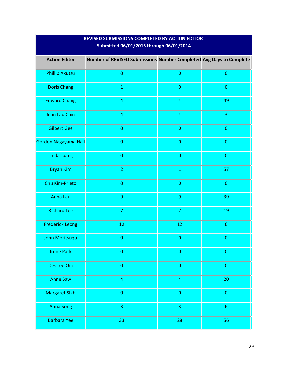| Submitted 06/01/2013 through 06/01/2014 |                                                                     |                  |                  |
|-----------------------------------------|---------------------------------------------------------------------|------------------|------------------|
| <b>Action Editor</b>                    | Number of REVISED Submissions Number Completed Avg Days to Complete |                  |                  |
| <b>Phillip Akutsu</b>                   | $\pmb{0}$                                                           | $\pmb{0}$        | $\pmb{0}$        |
| <b>Doris Chang</b>                      | $\mathbf 1$                                                         | $\pmb{0}$        | $\pmb{0}$        |
| <b>Edward Chang</b>                     | $\overline{a}$                                                      | $\overline{4}$   | 49               |
| Jean Lau Chin                           | $\overline{a}$                                                      | $\overline{4}$   | 3                |
| <b>Gilbert Gee</b>                      | $\pmb{0}$                                                           | $\pmb{0}$        | $\pmb{0}$        |
| Gordon Nagayama Hall                    | $\mathbf 0$                                                         | $\pmb{0}$        | $\pmb{0}$        |
| Linda Juang                             | $\pmb{0}$                                                           | $\pmb{0}$        | $\pmb{0}$        |
| <b>Bryan Kim</b>                        | $\overline{2}$                                                      | $\mathbf 1$      | 57               |
| Chu Kim-Prieto                          | $\pmb{0}$                                                           | $\pmb{0}$        | $\pmb{0}$        |
| Anna Lau                                | $\overline{9}$                                                      | $\boldsymbol{9}$ | 39               |
| <b>Richard Lee</b>                      | $\overline{7}$                                                      | $\overline{7}$   | 19               |
| <b>Frederick Leong</b>                  | 12                                                                  | 12               | $\boldsymbol{6}$ |
| John Moritsuqu                          | $\pmb{0}$                                                           | $\pmb{0}$        | $\pmb{0}$        |
| <b>Irene Park</b>                       | $\pmb{0}$                                                           | $\pmb{0}$        | $\pmb{0}$        |
| <b>Desiree Qin</b>                      | $\pmb{0}$                                                           | $\pmb{0}$        | $\pmb{0}$        |
| <b>Anne Saw</b>                         | $\overline{4}$                                                      | $\overline{a}$   | 20               |
| <b>Margaret Shih</b>                    | $\pmb{0}$                                                           | $\pmb{0}$        | $\pmb{0}$        |
| <b>Anna Song</b>                        | $\overline{3}$                                                      | 3                | $\sqrt{6}$       |
| <b>Barbara Yee</b>                      | 33                                                                  | 28               | 56               |

# **REVISED SUBMISSIONS COMPLETED BY ACTION EDITOR**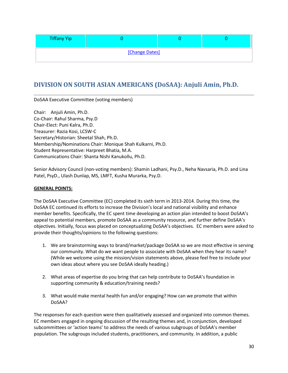| <b>Tiffany Yip</b> |  |  |  |
|--------------------|--|--|--|
| [Change Dates]     |  |  |  |

# <span id="page-29-0"></span>**DIVISION ON SOUTH ASIAN AMERICANS (DoSAA): Anjuli Amin, Ph.D.**

DoSAA Executive Committee (voting members)

Chair: Anjuli Amin, Ph.D. Co-Chair: Rahul Sharma, Psy.D Chair-Elect: Puni Kalra, Ph.D. Treasurer: Razia Kosi, LCSW-C Secretary/Historian: Sheetal Shah, Ph.D. Membership/Nominations Chair: Monique Shah Kulkarni, Ph.D. Student Representative: Harpreet Bhatia, M.A. Communications Chair: Shanta Nishi Kanukollu, Ph.D.

Senior Advisory Council (non-voting members): Shamin Ladhani, Psy.D., Neha Navsaria, Ph.D. and Lina Patel, PsyD., Ulash Dunlap, MS, LMFT, Kusha Murarka, Psy.D.

## **GENERAL POINTS:**

The DoSAA Executive Committee (EC) completed its sixth term in 2013-2014. During this time, the DoSAA EC continued its efforts to increase the Division's local and national visibility and enhance member benefits. Specifically, the EC spent time developing an action plan intended to boost DoSAA's appeal to potential members, promote DoSAA as a community resource, and further define DoSAA's objectives. Initially, focus was placed on conceptualizing DoSAA's objectives. EC members were asked to provide their thoughts/opinions to the following questions:

- 1. We are brainstorming ways to brand/market/package DoSAA so we are most effective in serving our community. What do we want people to associate with DoSAA when they hear its name? (While we welcome using the mission/vision statements above, please feel free to include your own ideas about where you see DoSAA ideally heading.)
- 2. What areas of expertise do you bring that can help contribute to DoSAA's foundation in supporting community & education/training needs?
- 3. What would make mental health fun and/or engaging? How can we promote that within DoSAA?

The responses for each question were then qualitatively assessed and organized into common themes. EC members engaged in ongoing discussion of the resulting themes and, in conjunction, developed subcommittees or 'action teams' to address the needs of various subgroups of DoSAA's member population. The subgroups included students, practitioners, and community. In addition, a public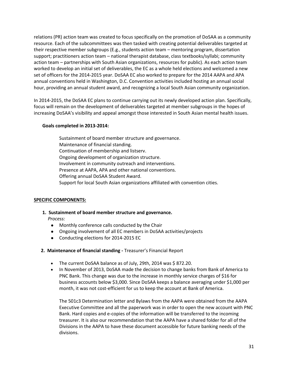relations (PR) action team was created to focus specifically on the promotion of DoSAA as a community resource. Each of the subcommittees was then tasked with creating potential deliverables targeted at their respective member subgroups (E.g., students action team – mentoring program, dissertation support; practitioners action team – national therapist database, class textbooks/syllabi; community action team – partnerships with South Asian organizations, resources for public). As each action team worked to develop an initial set of deliverables, the EC as a whole held elections and welcomed a new set of officers for the 2014-2015 year. DoSAA EC also worked to prepare for the 2014 AAPA and APA annual conventions held in Washington, D.C. Convention activities included hosting an annual social hour, providing an annual student award, and recognizing a local South Asian community organization.

In 2014-2015, the DoSAA EC plans to continue carrying out its newly developed action plan. Specifically, focus will remain on the development of deliverables targeted at member subgroups in the hopes of increasing DoSAA's visibility and appeal amongst those interested in South Asian mental health issues.

# **Goals completed in 2013-2014:**

Sustainment of board member structure and governance. Maintenance of financial standing. Continuation of membership and listserv. Ongoing development of organization structure. Involvement in community outreach and interventions. Presence at AAPA, APA and other national conventions. Offering annual DoSAA Student Award. Support for local South Asian organizations affiliated with convention cities.

## **SPECIFIC COMPONENTS:**

# **1. Sustainment of board member structure and governance.** *Process:*

- Monthly conference calls conducted by the Chair
- Ongoing involvement of all EC members in DoSAA activities/projects
- Conducting elections for 2014-2015 EC

## **2. Maintenance of financial standing -** Treasurer's Financial Report

- The current DoSAA balance as of July, 29th, 2014 was  $$872.20$ .
- In November of 2013, DoSAA made the decision to change banks from Bank of America to PNC Bank. This change was due to the increase in monthly service charges of \$16 for business accounts below \$3,000. Since DoSAA keeps a balance averaging under \$1,000 per month, it was not cost-efficient for us to keep the account at Bank of America.

The 501c3 Determination letter and Bylaws from the AAPA were obtained from the AAPA Executive Committee and all the paperwork was in order to open the new account with PNC Bank. Hard copies and e-copies of the information will be transferred to the incoming treasurer. It is also our recommendation that the AAPA have a shared folder for all of the Divisions in the AAPA to have these document accessible for future banking needs of the divisions.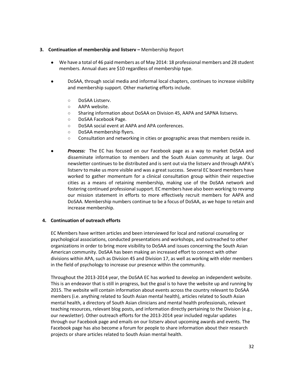## **3. Continuation of membership and listserv –** Membership Report

- We have a total of 46 paid members as of May 2014: 18 professional members and 28 student members. Annual dues are \$10 regardless of membership type.
- DoSAA, through social media and informal local chapters, continues to increase visibility and membership support. Other marketing efforts include.
	- DoSAA Listserv.
	- AAPA website.
	- Sharing information about DoSAA on Division 45, AAPA and SAPNA listservs.
	- DoSAA Facebook Page.
	- DoSAA social event at AAPA and APA conferences.
	- DoSAA membership flyers.
	- Consultation and networking in cities or geographic areas that members reside in.
- **Process:** The EC has focused on our Facebook page as a way to market DoSAA and disseminate information to members and the South Asian community at large. Our newsletter continues to be distributed and is sent out via the listserv and through AAPA's listserv to make us more visible and was a great success. Several EC board members have worked to gather momentum for a clinical consultation group within their respective cities as a means of retaining membership, making use of the DoSAA network and fostering continued professional support. EC members have also been working to revamp our mission statement in efforts to more effectively recruit members for AAPA and DoSAA. Membership numbers continue to be a focus of DoSAA, as we hope to retain and increase membership.

#### **4. Continuation of outreach efforts**

EC Members have written articles and been interviewed for local and national counseling or psychological associations, conducted presentations and workshops, and outreached to other organizations in order to bring more visibility to DoSAA and issues concerning the South Asian American community. DoSAA has been making an increased effort to connect with other divisions within APA, such as Division 45 and Division 17, as well as working with elder members in the field of psychology to increase our presence within the community.

Throughout the 2013-2014 year, the DoSAA EC has worked to develop an independent website. This is an endeavor that is still in progress, but the goal is to have the website up and running by 2015. The website will contain information about events across the country relevant to DoSAA members (i.e. anything related to South Asian mental health), articles related to South Asian mental health, a directory of South Asian clinicians and mental health professionals, relevant teaching resources, relevant blog posts, and information directly pertaining to the Division (e.g., our newsletter). Other outreach efforts for the 2013-2014 year included regular updates through our Facebook page and emails on our listserv about upcoming awards and events. The Facebook page has also become a forum for people to share information about their research projects or share articles related to South Asian mental health.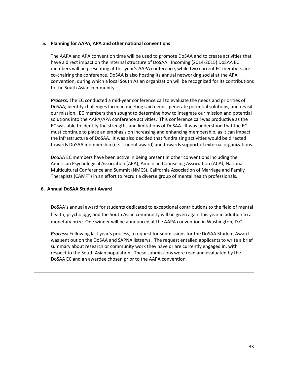#### **5. Planning for AAPA, APA and other national conventions**

The AAPA and APA convention time will be used to promote DoSAA and to create activities that have a direct impact on the internal structure of DoSAA. Incoming (2014-2015) DoSAA EC members will be presenting at this year's AAPA conference, while two current EC members are co-chairing the conference. DoSAA is also hosting its annual networking social at the APA convention, during which a local South Asian organization will be recognized for its contributions to the South Asian community.

*Process:* The EC conducted a mid-year conference call to evaluate the needs and priorities of DoSAA, identify challenges faced in meeting said needs, generate potential solutions, and revisit our mission. EC members then sought to determine how to integrate our mission and potential solutions into the AAPA/APA conference activities. This conference call was productive as the EC was able to identify the strengths and limitations of DoSAA. It was understood that the EC must continue to place an emphasis on increasing and enhancing membership, as it can impact the infrastructure of DoSAA. It was also decided that fundraising activities would be directed towards DoSAA membership (i.e. student award) and towards support of external organizations.

DoSAA EC members have been active in being present in other conventions including the American Psychological Association (APA), American Counseling Association (ACA*),* National Multicultural Conference and Summit (NMCS), California Association of Marriage and Family Therapists (CAMFT) in an effort to recruit a diverse group of mental health professionals*.*

#### **6. Annual DoSAA Student Award**

DoSAA's annual award for students dedicated to exceptional contributions to the field of mental health, psychology, and the South Asian community will be given again this year in addition to a monetary prize. One winner will be announced at the AAPA convention in Washington, D.C.

*Process:* Following last year's process, a request for submissions for the DoSAA Student Award was sent out on the DoSAA and SAPNA listservs. The request entailed applicants to write a brief summary about research or community work they have or are currently engaged in, with respect to the South Asian population. These submissions were read and evaluated by the DoSAA EC and an awardee chosen prior to the AAPA convention.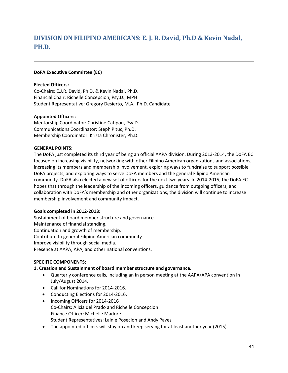# <span id="page-33-0"></span>**DIVISION ON FILIPINO AMERICANS: E. J. R. David, Ph.D & Kevin Nadal, PH.D.**

## **DoFA Executive Committee (EC)**

# **Elected Officers:**

Co-Chairs: E.J.R. David, Ph.D. & Kevin Nadal, Ph.D. Financial Chair: Richelle Concepcion, Psy.D., MPH Student Representative: Gregory Desierto, M.A., Ph.D. Candidate

# **Appointed Officers:**

Mentorship Coordinator: Christine Catipon, Psy.D. Communications Coordinator: Steph Pituc, Ph.D. Membership Coordinator: Krista Chronister, Ph.D.

## **GENERAL POINTS:**

The DoFA just completed its third year of being an official AAPA division. During 2013-2014, the DoFA EC focused on increasing visibility, networking with other Filipino American organizations and associations, increasing its members and membership involvement, exploring ways to fundraise to support possible DoFA projects, and exploring ways to serve DoFA members and the general Filipino American community. DoFA also elected a new set of officers for the next two years. In 2014-2015, the DoFA EC hopes that through the leadership of the incoming officers, guidance from outgoing officers, and collaboration with DoFA's membership and other organizations, the division will continue to increase membership involvement and community impact.

## **Goals completed in 2012-2013:**

Sustainment of board member structure and governance. Maintenance of financial standing. Continuation and growth of membership. Contribute to general Filipino American community Improve visibility through social media. Presence at AAPA, APA, and other national conventions.

## **SPECIFIC COMPONENTS:**

# **1. Creation and Sustainment of board member structure and governance.**

- Quarterly conference calls, including an in person meeting at the AAPA/APA convention in July/August 2014.
- Call for Nominations for 2014-2016.
- Conducting Elections for 2014-2016.
- Incoming Officers for 2014-2016 Co-Chairs: Alicia del Prado and Richelle Concepcion Finance Officer: Michelle Madore Student Representatives: Lainie Posecion and Andy Paves
- The appointed officers will stay on and keep serving for at least another year (2015).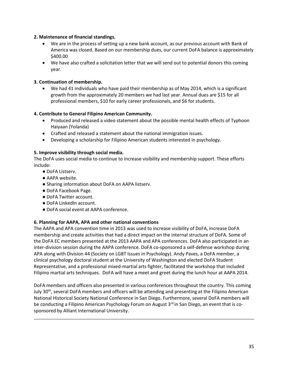# **2. Maintenance of financial standings.**

- We are in the process of setting up a new bank account, as our previous account with Bank of America was closed. Based on our membership dues, our current DoFA balance is approximately \$400.00
- We have also crafted a solicitation letter that we will send out to potential donors this coming year.

# **3. Continuation of membership.**

 We had 41 individuals who have paid their membership as of May 2014, which is a significant growth from the approximately 20 members we had last year. Annual dues are \$15 for all professional members, \$10 for early career professionals, and \$6 for students.

## **4. Contribute to General Filipino American Community.**

- Produced and released a video statement about the possible mental health effects of Typhoon Haiyaan (Yolanda)
- Crafted and released a statement about the national immigration issues.
- Developing a scholarship for Filipino American students interested in psychology.

## **5. Improve visibility through social media.**

The DoFA uses social media to continue to increase visibility and membership support. These efforts include:

- DoFA Listserv.
- AAPA website.
- Sharing information about DoFA on AAPA listserv.
- DoFA Facebook Page.
- DoFA Twitter account.
- DoFA LinkedIn account.
- DoFA social event at AAPA conference.

## **6. Planning for AAPA, APA and other national conventions**

The AAPA and APA convention time in 2013 was used to increase visibility of DoFA, increase DoFA membership and create activities that had a direct impact on the internal structure of DoFA. Some of the DoFA EC members presented at the 2013 AAPA and APA conferences. DoFA also participated in an inter-division session during the AAPA conference. DoFA co-sponsored a self-defense workshop during APA along with Division 44 (Society on LGBT Issues in Psychology). Andy Paves, a DoFA member, a clinical psychology doctoral student at the University of Washington and elected DoFA Student Representative, and a professional mixed-martial arts fighter, facilitated the workshop that included Filipino martial arts techniques. DoFA will have a meet and greet during the lunch hour at AAPA 2014.

DoFA members and officers also presented in various conferences throughout the country. This coming July 30<sup>th</sup>, several DoFA members and officers will be attending and presenting at the Filipino American National Historical Society National Conference in San Diego. Furthermore, several DoFA members will be conducting a Filipino American Psychology Forum on August 3<sup>rd</sup> in San Diego, an event that is cosponsored by Alliant International University.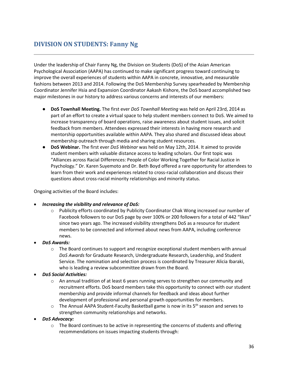# <span id="page-35-0"></span>**DIVISION ON STUDENTS: Fanny Ng**

Under the leadership of Chair Fanny Ng, the Division on Students (DoS) of the Asian American Psychological Association (AAPA) has continued to make significant progress toward continuing to improve the overall experiences of students within AAPA in concrete, innovative, and measurable fashions between 2013 and 2014. Following the DoS Membership Survey spearheaded by Membership Coordinator Jennifer Hsia and Expansion Coordinator Aakash Kishore, the DoS board accomplished two major milestones in our history to address various concerns and interests of our members:

- **DoS Townhall Meeting.** The first ever *DoS Townhall Meeting* was held on April 23rd, 2014 as part of an effort to create a virtual space to help student members connect to DoS. We aimed to increase transparency of board operations, raise awareness about student issues, and solicit feedback from members. Attendees expressed their interests in having more research and mentorship opportunities available within AAPA. They also shared and discussed ideas about membership outreach through media and sharing student resources.
- **DoS Webinar.** The first ever *DoS Webinar* was held on May 12th, 2014. It aimed to provide student members with valuable distance access to leading scholars. Our first topic was "Alliances across Racial Differences: People of Color Working Together for Racial Justice in Psychology." Dr. Karen Suyemoto and Dr. Beth Boyd offered a rare opportunity for attendees to learn from their work and experiences related to cross-racial collaboration and discuss their questions about cross-racial minority relationships and minority status.

Ongoing activities of the Board includes:

- *Increasing the visibility and relevance of DoS:*
	- o Publicity efforts coordinated by Publicity Coordinator Chak Wong increased our number of Facebook followers to our DoS page by over 100% or 200 followers for a total of 442 "likes" since two years ago. The increased visibility strengthens DoS as a resource for student members to be connected and informed about news from AAPA, including conference news.
- *DoS Awards:*
	- $\circ$  The Board continues to support and recognize exceptional student members with annual *DoS Awards* for Graduate Research, Undergraduate Research, Leadership, and Student Service. The nomination and selection process is coordinated by Treasurer Alicia Ibaraki, who is leading a review subcommittee drawn from the Board.
- *DoS Social Activities:*
	- $\circ$  An annual tradition of at least 6 years running serves to strengthen our community and recruitment efforts. DoS board members take this opportunity to connect with our student membership and provide informal channels for feedback and ideas about further development of professional and personal growth opportunities for members.
	- $\circ$  The Annual AAPA Student-Faculty Basketball game is now in its  $5<sup>th</sup>$  season and serves to strengthen community relationships and networks.
- *DoS Advocacy:*
	- $\circ$  The Board continues to be active in representing the concerns of students and offering recommendations on issues impacting students through: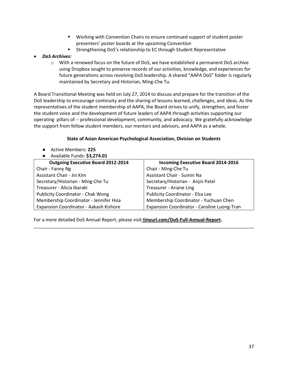- Working with Convention Chairs to ensure continued support of student poster presenters' poster boards at the upcoming Convention
- Strengthening DoS's relationship to EC through Student Representative
- *DoS Archives:*
	- $\circ$  With a renewed focus on the future of DoS, we have established a permanent DoS archive using Dropbox sought to preserve records of our activities, knowledge, and experiences for future generations across revolving DoS leadership. A shared "AAPA DoS" folder is regularly maintained by Secretary and Historian, Ming-Che Tu.

A Board Transitional Meeting was held on July 27, 2014 to discuss and prepare for the transition of the DoS leadership to encourage continuity and the sharing of lessons learned, challenges, and ideas. As the representatives of the student membership of AAPA, the Board strives to unify, strengthen, and foster the student voice and the development of future leaders of AAPA through activities supporting our operating pillars of -- professional development, community, and advocacy. We gratefully acknowledge the support from fellow student members, our mentors and advisors, and AAPA as a whole.

# **State of Asian American Psychological Association, Division on Students**

- Active Members: **225**
- Available Funds: **\$3,274.01**

| <b>Outgoing Executive Board 2012-2014</b> | <b>Incoming Executive Board 2014-2016</b>   |
|-------------------------------------------|---------------------------------------------|
| Chair - Fanny Ng                          | Chair - Ming-Che Tu                         |
| Assistant Chair - Jin Kim                 | Assistant Chair - Sumin Na                  |
| Secretary/Historian - Ming-Che Tu         | Secretary/Historian - Anjni Patel           |
| Treasurer - Alicia Ibaraki                | Treasurer - Ariane Ling                     |
| <b>Publicity Coordinator - Chak Wong</b>  | Publicity Coordinator - Elsa Lee            |
| Membership Coordinator - Jennifer Hsia    | Membership Coordinator - Yuchuan Chen       |
| Expansion Coordinator - Aakash Kishore    | Expansion Coordinator - Caroline Luong-Tran |

For a more detailed DoS Annual Report, please visit **tinyurl.com/DoS-Full-Annual-Report.**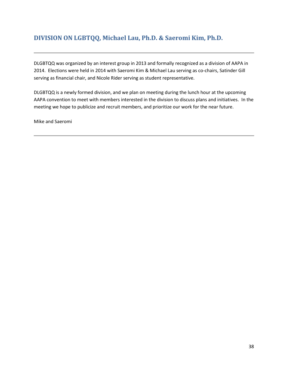# **DIVISION ON LGBTQQ, Michael Lau, Ph.D. & Saeromi Kim, Ph.D.**

DLGBTQQ was organized by an interest group in 2013 and formally recognized as a division of AAPA in 2014. Elections were held in 2014 with Saeromi Kim & Michael Lau serving as co-chairs, Satinder Gill serving as financial chair, and Nicole Rider serving as student representative.

DLGBTQQ is a newly formed division, and we plan on meeting during the lunch hour at the upcoming AAPA convention to meet with members interested in the division to discuss plans and initiatives. In the meeting we hope to publicize and recruit members, and prioritize our work for the near future.

<span id="page-37-0"></span>Mike and Saeromi